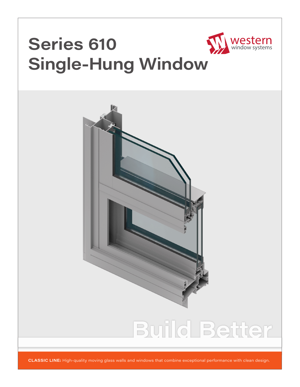

# **Build Better**

**CLASSIC LINE:** High-quality moving glass walls and windows that combine exceptional performance with clean design.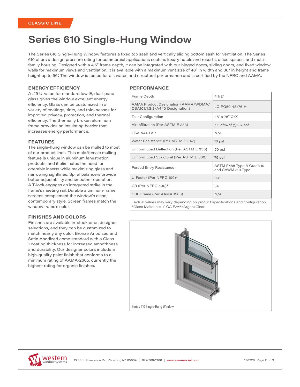### **Series 610 Single-Hung Window**

The Series 610 Single-Hung Window features a fixed top sash and vertically sliding bottom sash for ventilation. The Series 610 offers a design pressure rating for commercial applications such as luxury hotels and resorts, office spaces, and multifamily housing. Designed with a 4.5" frame depth, it can be integrated with our hinged doors, sliding doors, and fixed window walls for maximum views and ventilation. It is available with a maximum vent size of 48" in width and 36" in height and frame height up to 96". The window is tested for air, water, and structural performance and is certified by the NFRC and AAMA.

#### **ENERGY EFFICIENCY**

A .49 U-value for standard low-E, dual-pane glass gives the window excellent energy efficiency. Glass can be customized in a variety of coatings, tints, and thicknesses for improved privacy, protection, and thermal efficiency. The thermally broken aluminum frame provides an insulating barrier that increases energy performance.

#### **FEATURES**

The single-hung window can be mulled to most of our product lines. This male/female mulling feature is unique in aluminum fenestration products, and it eliminates the need for operable inserts while maximizing glass and narrowing sightlines. Spiral balancers provide better adjustability and smoother operation. A T-lock engages an integrated strike in the frame's meeting rail. Durable aluminum-frame screens complement the window's clean, contemporary style. Screen frames match the window frame's color.

#### **FINISHES AND COLORS**

Finishes are available in-stock or as designer selections, and they can be customized to match nearly any color. Bronze Anodized and Satin Anodized come standard with a Class 1 coating thickness for increased smoothness and durability. Our designer colors include a high-quality paint finish that conforms to a minimum rating of AAMA-2605, currently the highest rating for organic finishes.

#### **PERFORMANCE**

| Frame Depth                                                                  | 41/2"                                            |
|------------------------------------------------------------------------------|--------------------------------------------------|
| AAMA Product Designation (AAMA/WDMA/<br>CSA101/I.S.2/A440 Designation)       | LC-PG50-48x76-H                                  |
| <b>Test Configuration</b>                                                    | $48'' \times 76''$ O/X                           |
| Air Infiltration (Per ASTM E 283)                                            | .25 cfm/sf @1.57 psf                             |
| CSA A440 Air                                                                 | N/A                                              |
| Water Resistance (Per ASTM E 547)                                            | 10 psf                                           |
| Uniform Load Deflection (Per ASTM E 330)                                     | 50 psf                                           |
| Uniform Load Structural (Per ASTM E 330)                                     | 75 psf                                           |
| <b>Forced Entry Resistance</b>                                               | ASTM F588 Type A Grade 10<br>and CAWM 301 Type I |
| U-Factor (Per NFRC 100)*                                                     | 0.49                                             |
| CR (Per NFRC 500)*                                                           | 34                                               |
| CRF Frame (Per AAMA 1503)                                                    | N/A                                              |
| Actual values may vary depending on product specifications and configuration |                                                  |

Actual values may vary depending on product specifications and configuration. \*Glass Makeup = 1" OA E366/Argon/Clear